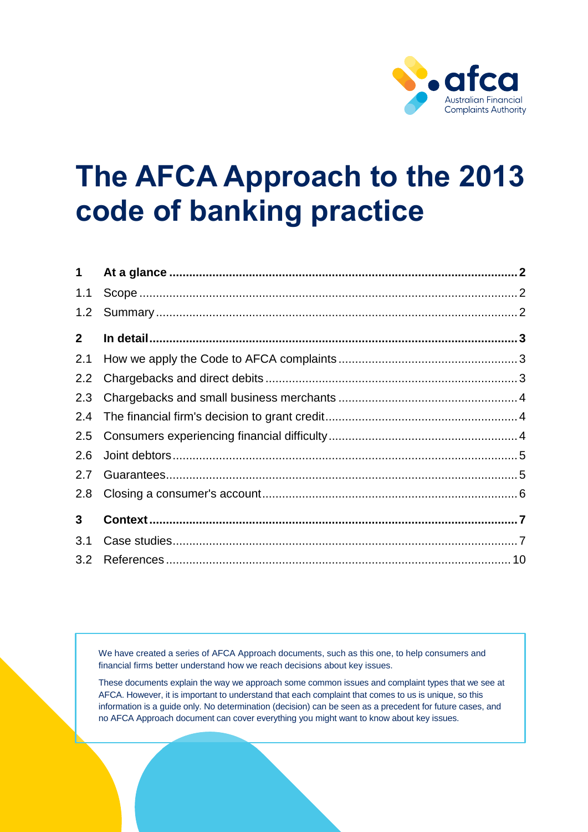

# **The AFCA Approach to the 2013 code of banking practice**

| $\mathbf 1$    |  |
|----------------|--|
| 1.1            |  |
| 1.2            |  |
| $\mathbf{2}$   |  |
| 2.1            |  |
| 2.2            |  |
| 2.3            |  |
| 2.4            |  |
| 2.5            |  |
| 2.6            |  |
| 2.7            |  |
| 2.8            |  |
| $3\phantom{a}$ |  |
| 3.1            |  |
| 3.2            |  |

We have created a series of AFCA Approach documents, such as this one, to help consumers and financial firms better understand how we reach decisions about key issues.

These documents explain the way we approach some common issues and complaint types that we see at AFCA. However, it is important to understand that each complaint that comes to us is unique, so this information is a guide only. No determination (decision) can be seen as a precedent for future cases, and no AFCA Approach document can cover everything you might want to know about key issues.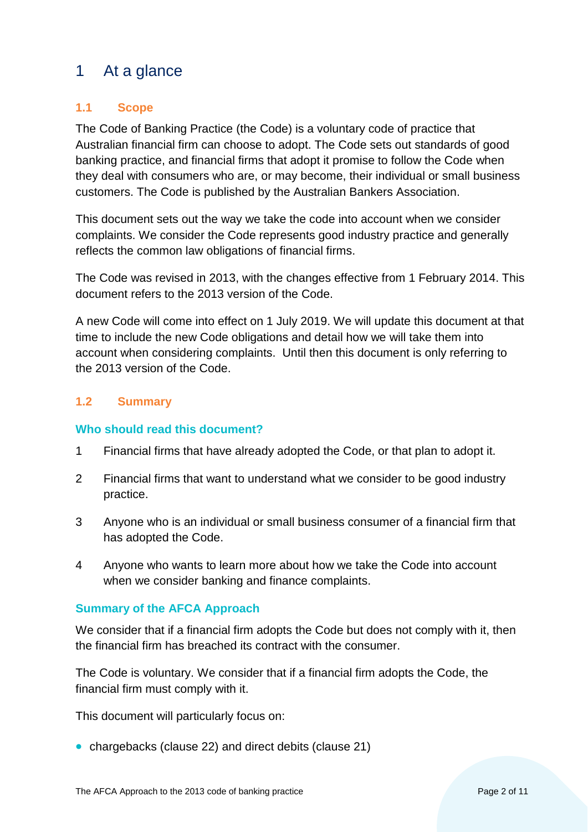# <span id="page-1-0"></span>1 At a glance

# <span id="page-1-1"></span>**1.1 Scope**

The Code of Banking Practice (the Code) is a voluntary code of practice that Australian financial firm can choose to adopt. The Code sets out standards of good banking practice, and financial firms that adopt it promise to follow the Code when they deal with consumers who are, or may become, their individual or small business customers. The Code is published by the Australian Bankers Association.

This document sets out the way we take the code into account when we consider complaints. We consider the Code represents good industry practice and generally reflects the common law obligations of financial firms.

The Code was revised in 2013, with the changes effective from 1 February 2014. This document refers to the 2013 version of the Code.

A new Code will come into effect on 1 July 2019. We will update this document at that time to include the new Code obligations and detail how we will take them into account when considering complaints. Until then this document is only referring to the 2013 version of the Code.

# <span id="page-1-2"></span>**1.2 Summary**

## **Who should read this document?**

- 1 Financial firms that have already adopted the Code, or that plan to adopt it.
- 2 Financial firms that want to understand what we consider to be good industry practice.
- 3 Anyone who is an individual or small business consumer of a financial firm that has adopted the Code.
- 4 Anyone who wants to learn more about how we take the Code into account when we consider banking and finance complaints.

## **Summary of the AFCA Approach**

We consider that if a financial firm adopts the Code but does not comply with it, then the financial firm has breached its contract with the consumer.

The Code is voluntary. We consider that if a financial firm adopts the Code, the financial firm must comply with it.

This document will particularly focus on:

• chargebacks (clause 22) and direct debits (clause 21)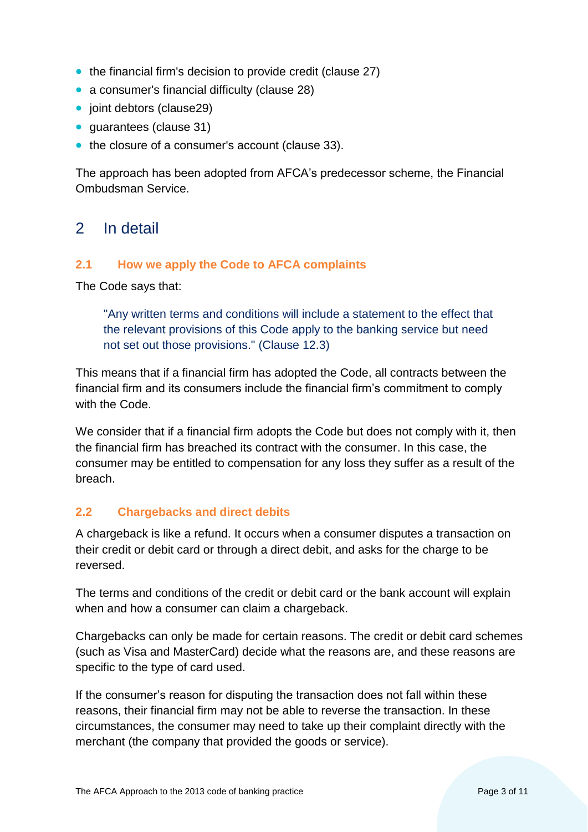- the financial firm's decision to provide credit (clause 27)
- a consumer's financial difficulty (clause 28)
- joint debtors (clause29)
- quarantees (clause 31)
- the closure of a consumer's account (clause 33).

The approach has been adopted from AFCA's predecessor scheme, the Financial Ombudsman Service.

# <span id="page-2-0"></span>2 In detail

#### <span id="page-2-1"></span>**2.1 How we apply the Code to AFCA complaints**

The Code says that:

"Any written terms and conditions will include a statement to the effect that the relevant provisions of this Code apply to the banking service but need not set out those provisions." (Clause 12.3)

This means that if a financial firm has adopted the Code, all contracts between the financial firm and its consumers include the financial firm's commitment to comply with the Code.

We consider that if a financial firm adopts the Code but does not comply with it, then the financial firm has breached its contract with the consumer. In this case, the consumer may be entitled to compensation for any loss they suffer as a result of the breach.

## <span id="page-2-2"></span>**2.2 Chargebacks and direct debits**

A chargeback is like a refund. It occurs when a consumer disputes a transaction on their credit or debit card or through a direct debit, and asks for the charge to be reversed.

The terms and conditions of the credit or debit card or the bank account will explain when and how a consumer can claim a chargeback.

Chargebacks can only be made for certain reasons. The credit or debit card schemes (such as Visa and MasterCard) decide what the reasons are, and these reasons are specific to the type of card used.

If the consumer's reason for disputing the transaction does not fall within these reasons, their financial firm may not be able to reverse the transaction. In these circumstances, the consumer may need to take up their complaint directly with the merchant (the company that provided the goods or service).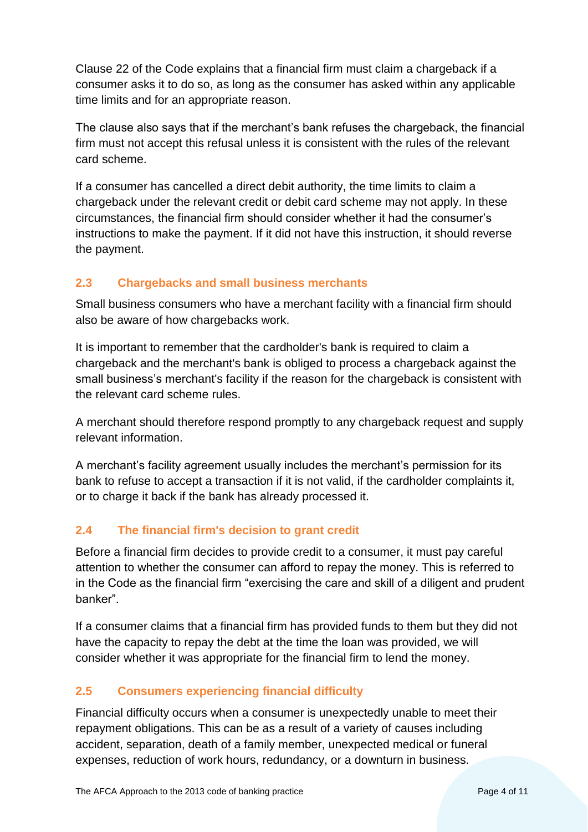Clause 22 of the Code explains that a financial firm must claim a chargeback if a consumer asks it to do so, as long as the consumer has asked within any applicable time limits and for an appropriate reason.

The clause also says that if the merchant's bank refuses the chargeback, the financial firm must not accept this refusal unless it is consistent with the rules of the relevant card scheme.

If a consumer has cancelled a direct debit authority, the time limits to claim a chargeback under the relevant credit or debit card scheme may not apply. In these circumstances, the financial firm should consider whether it had the consumer's instructions to make the payment. If it did not have this instruction, it should reverse the payment.

# <span id="page-3-0"></span>**2.3 Chargebacks and small business merchants**

Small business consumers who have a merchant facility with a financial firm should also be aware of how chargebacks work.

It is important to remember that the cardholder's bank is required to claim a chargeback and the merchant's bank is obliged to process a chargeback against the small business's merchant's facility if the reason for the chargeback is consistent with the relevant card scheme rules.

A merchant should therefore respond promptly to any chargeback request and supply relevant information.

A merchant's facility agreement usually includes the merchant's permission for its bank to refuse to accept a transaction if it is not valid, if the cardholder complaints it, or to charge it back if the bank has already processed it.

# <span id="page-3-1"></span>**2.4 The financial firm's decision to grant credit**

Before a financial firm decides to provide credit to a consumer, it must pay careful attention to whether the consumer can afford to repay the money. This is referred to in the Code as the financial firm "exercising the care and skill of a diligent and prudent banker".

If a consumer claims that a financial firm has provided funds to them but they did not have the capacity to repay the debt at the time the loan was provided, we will consider whether it was appropriate for the financial firm to lend the money.

# <span id="page-3-2"></span>**2.5 Consumers experiencing financial difficulty**

Financial difficulty occurs when a consumer is unexpectedly unable to meet their repayment obligations. This can be as a result of a variety of causes including accident, separation, death of a family member, unexpected medical or funeral expenses, reduction of work hours, redundancy, or a downturn in business.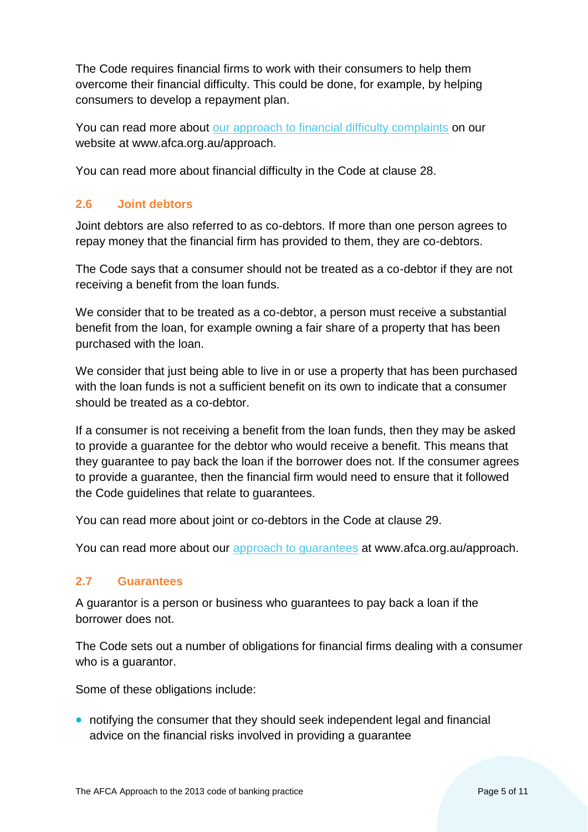The Code requires financial firms to work with their consumers to help them overcome their financial difficulty. This could be done, for example, by helping consumers to develop a repayment plan.

You can read more about [our approach to financial difficulty complaints](https://afca.org.au/approach) on our website at www.afca.org.au/approach.

You can read more about financial difficulty in the Code at clause 28.

#### <span id="page-4-0"></span>**2.6 Joint debtors**

Joint debtors are also referred to as co-debtors. If more than one person agrees to repay money that the financial firm has provided to them, they are co-debtors.

The Code says that a consumer should not be treated as a co-debtor if they are not receiving a benefit from the loan funds.

We consider that to be treated as a co-debtor, a person must receive a substantial benefit from the loan, for example owning a fair share of a property that has been purchased with the loan.

We consider that just being able to live in or use a property that has been purchased with the loan funds is not a sufficient benefit on its own to indicate that a consumer should be treated as a co-debtor.

If a consumer is not receiving a benefit from the loan funds, then they may be asked to provide a guarantee for the debtor who would receive a benefit. This means that they guarantee to pay back the loan if the borrower does not. If the consumer agrees to provide a guarantee, then the financial firm would need to ensure that it followed the Code guidelines that relate to guarantees.

You can read more about joint or co-debtors in the Code at clause 29.

You can read more about our [approach to guarantees](https://afca.org.au/approach) at www.afca.org.au/approach.

#### <span id="page-4-1"></span>**2.7 Guarantees**

A guarantor is a person or business who guarantees to pay back a loan if the borrower does not.

The Code sets out a number of obligations for financial firms dealing with a consumer who is a guarantor.

Some of these obligations include:

• notifying the consumer that they should seek independent legal and financial advice on the financial risks involved in providing a guarantee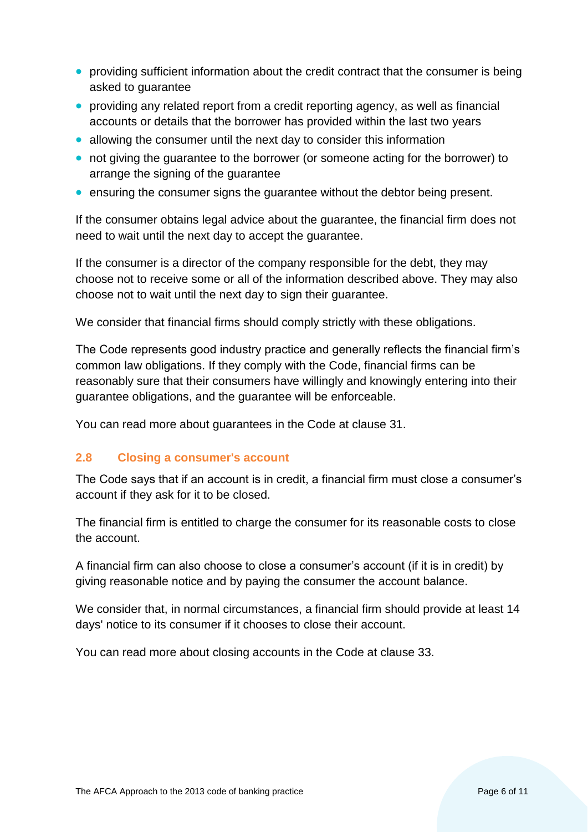- providing sufficient information about the credit contract that the consumer is being asked to guarantee
- providing any related report from a credit reporting agency, as well as financial accounts or details that the borrower has provided within the last two years
- allowing the consumer until the next day to consider this information
- not giving the guarantee to the borrower (or someone acting for the borrower) to arrange the signing of the guarantee
- ensuring the consumer signs the guarantee without the debtor being present.

If the consumer obtains legal advice about the guarantee, the financial firm does not need to wait until the next day to accept the guarantee.

If the consumer is a director of the company responsible for the debt, they may choose not to receive some or all of the information described above. They may also choose not to wait until the next day to sign their guarantee.

We consider that financial firms should comply strictly with these obligations.

The Code represents good industry practice and generally reflects the financial firm's common law obligations. If they comply with the Code, financial firms can be reasonably sure that their consumers have willingly and knowingly entering into their guarantee obligations, and the guarantee will be enforceable.

You can read more about guarantees in the Code at clause 31.

#### <span id="page-5-0"></span>**2.8 Closing a consumer's account**

The Code says that if an account is in credit, a financial firm must close a consumer's account if they ask for it to be closed.

The financial firm is entitled to charge the consumer for its reasonable costs to close the account.

A financial firm can also choose to close a consumer's account (if it is in credit) by giving reasonable notice and by paying the consumer the account balance.

We consider that, in normal circumstances, a financial firm should provide at least 14 days' notice to its consumer if it chooses to close their account.

You can read more about closing accounts in the Code at clause 33.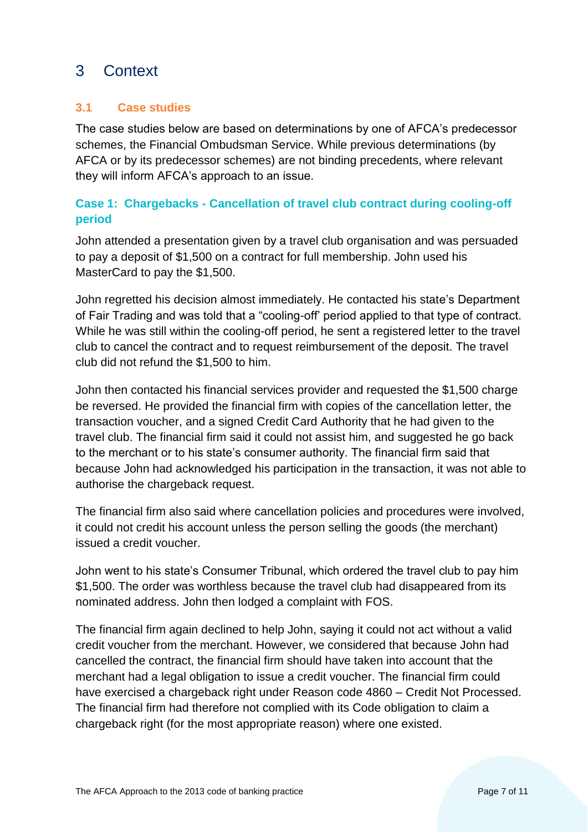# <span id="page-6-0"></span>3 Context

# <span id="page-6-1"></span>**3.1 Case studies**

The case studies below are based on determinations by one of AFCA's predecessor schemes, the Financial Ombudsman Service. While previous determinations (by AFCA or by its predecessor schemes) are not binding precedents, where relevant they will inform AFCA's approach to an issue.

# **Case 1: Chargebacks - Cancellation of travel club contract during cooling-off period**

John attended a presentation given by a travel club organisation and was persuaded to pay a deposit of \$1,500 on a contract for full membership. John used his MasterCard to pay the \$1,500.

John regretted his decision almost immediately. He contacted his state's Department of Fair Trading and was told that a "cooling-off' period applied to that type of contract. While he was still within the cooling-off period, he sent a registered letter to the travel club to cancel the contract and to request reimbursement of the deposit. The travel club did not refund the \$1,500 to him.

John then contacted his financial services provider and requested the \$1,500 charge be reversed. He provided the financial firm with copies of the cancellation letter, the transaction voucher, and a signed Credit Card Authority that he had given to the travel club. The financial firm said it could not assist him, and suggested he go back to the merchant or to his state's consumer authority. The financial firm said that because John had acknowledged his participation in the transaction, it was not able to authorise the chargeback request.

The financial firm also said where cancellation policies and procedures were involved, it could not credit his account unless the person selling the goods (the merchant) issued a credit voucher.

John went to his state's Consumer Tribunal, which ordered the travel club to pay him \$1,500. The order was worthless because the travel club had disappeared from its nominated address. John then lodged a complaint with FOS.

The financial firm again declined to help John, saying it could not act without a valid credit voucher from the merchant. However, we considered that because John had cancelled the contract, the financial firm should have taken into account that the merchant had a legal obligation to issue a credit voucher. The financial firm could have exercised a chargeback right under Reason code 4860 – Credit Not Processed. The financial firm had therefore not complied with its Code obligation to claim a chargeback right (for the most appropriate reason) where one existed.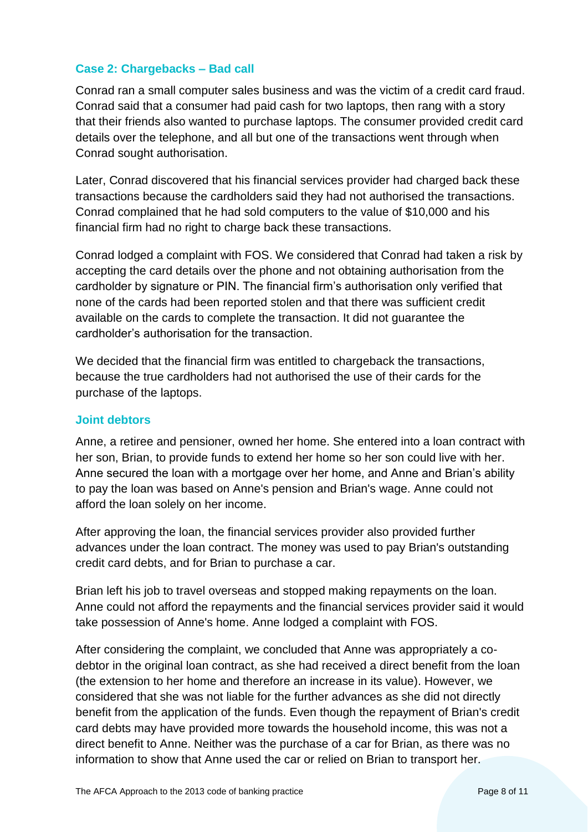#### **Case 2: Chargebacks – Bad call**

Conrad ran a small computer sales business and was the victim of a credit card fraud. Conrad said that a consumer had paid cash for two laptops, then rang with a story that their friends also wanted to purchase laptops. The consumer provided credit card details over the telephone, and all but one of the transactions went through when Conrad sought authorisation.

Later, Conrad discovered that his financial services provider had charged back these transactions because the cardholders said they had not authorised the transactions. Conrad complained that he had sold computers to the value of \$10,000 and his financial firm had no right to charge back these transactions.

Conrad lodged a complaint with FOS. We considered that Conrad had taken a risk by accepting the card details over the phone and not obtaining authorisation from the cardholder by signature or PIN. The financial firm's authorisation only verified that none of the cards had been reported stolen and that there was sufficient credit available on the cards to complete the transaction. It did not guarantee the cardholder's authorisation for the transaction.

We decided that the financial firm was entitled to chargeback the transactions, because the true cardholders had not authorised the use of their cards for the purchase of the laptops.

#### **Joint debtors**

Anne, a retiree and pensioner, owned her home. She entered into a loan contract with her son, Brian, to provide funds to extend her home so her son could live with her. Anne secured the loan with a mortgage over her home, and Anne and Brian's ability to pay the loan was based on Anne's pension and Brian's wage. Anne could not afford the loan solely on her income.

After approving the loan, the financial services provider also provided further advances under the loan contract. The money was used to pay Brian's outstanding credit card debts, and for Brian to purchase a car.

Brian left his job to travel overseas and stopped making repayments on the loan. Anne could not afford the repayments and the financial services provider said it would take possession of Anne's home. Anne lodged a complaint with FOS.

After considering the complaint, we concluded that Anne was appropriately a codebtor in the original loan contract, as she had received a direct benefit from the loan (the extension to her home and therefore an increase in its value). However, we considered that she was not liable for the further advances as she did not directly benefit from the application of the funds. Even though the repayment of Brian's credit card debts may have provided more towards the household income, this was not a direct benefit to Anne. Neither was the purchase of a car for Brian, as there was no information to show that Anne used the car or relied on Brian to transport her.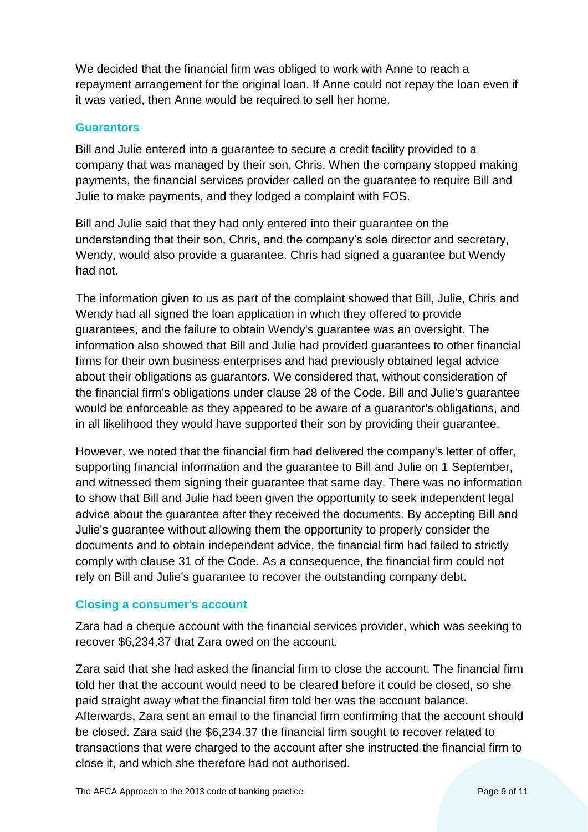We decided that the financial firm was obliged to work with Anne to reach a repayment arrangement for the original loan. If Anne could not repay the loan even if it was varied, then Anne would be required to sell her home.

#### **Guarantors**

Bill and Julie entered into a guarantee to secure a credit facility provided to a company that was managed by their son, Chris. When the company stopped making payments, the financial services provider called on the guarantee to require Bill and Julie to make payments, and they lodged a complaint with FOS.

Bill and Julie said that they had only entered into their guarantee on the understanding that their son, Chris, and the company's sole director and secretary, Wendy, would also provide a guarantee. Chris had signed a guarantee but Wendy had not.

The information given to us as part of the complaint showed that Bill, Julie, Chris and Wendy had all signed the loan application in which they offered to provide guarantees, and the failure to obtain Wendy's guarantee was an oversight. The information also showed that Bill and Julie had provided guarantees to other financial firms for their own business enterprises and had previously obtained legal advice about their obligations as guarantors. We considered that, without consideration of the financial firm's obligations under clause 28 of the Code, Bill and Julie's guarantee would be enforceable as they appeared to be aware of a guarantor's obligations, and in all likelihood they would have supported their son by providing their guarantee.

However, we noted that the financial firm had delivered the company's letter of offer, supporting financial information and the guarantee to Bill and Julie on 1 September, and witnessed them signing their guarantee that same day. There was no information to show that Bill and Julie had been given the opportunity to seek independent legal advice about the guarantee after they received the documents. By accepting Bill and Julie's guarantee without allowing them the opportunity to properly consider the documents and to obtain independent advice, the financial firm had failed to strictly comply with clause 31 of the Code. As a consequence, the financial firm could not rely on Bill and Julie's guarantee to recover the outstanding company debt.

#### **Closing a consumer's account**

Zara had a cheque account with the financial services provider, which was seeking to recover \$6,234.37 that Zara owed on the account.

Zara said that she had asked the financial firm to close the account. The financial firm told her that the account would need to be cleared before it could be closed, so she paid straight away what the financial firm told her was the account balance. Afterwards, Zara sent an email to the financial firm confirming that the account should be closed. Zara said the \$6,234.37 the financial firm sought to recover related to transactions that were charged to the account after she instructed the financial firm to close it, and which she therefore had not authorised.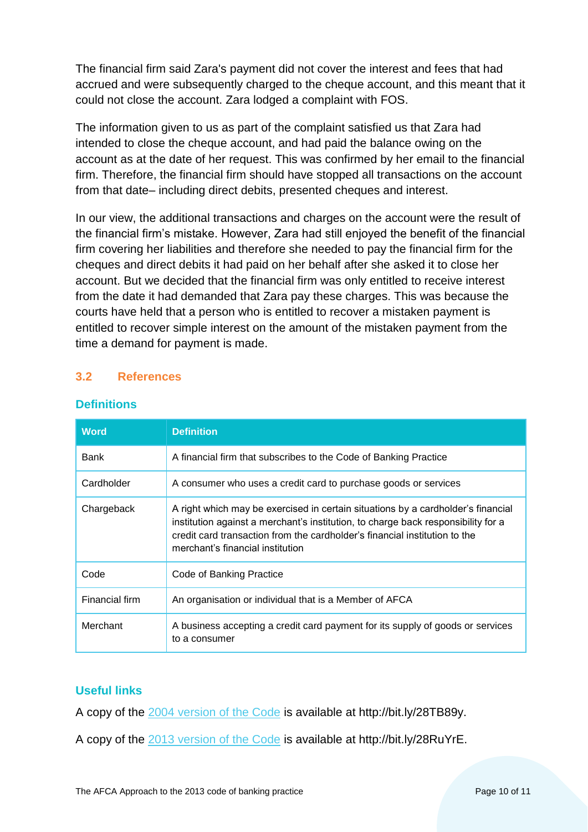The financial firm said Zara's payment did not cover the interest and fees that had accrued and were subsequently charged to the cheque account, and this meant that it could not close the account. Zara lodged a complaint with FOS.

The information given to us as part of the complaint satisfied us that Zara had intended to close the cheque account, and had paid the balance owing on the account as at the date of her request. This was confirmed by her email to the financial firm. Therefore, the financial firm should have stopped all transactions on the account from that date– including direct debits, presented cheques and interest.

In our view, the additional transactions and charges on the account were the result of the financial firm's mistake. However, Zara had still enjoyed the benefit of the financial firm covering her liabilities and therefore she needed to pay the financial firm for the cheques and direct debits it had paid on her behalf after she asked it to close her account. But we decided that the financial firm was only entitled to receive interest from the date it had demanded that Zara pay these charges. This was because the courts have held that a person who is entitled to recover a mistaken payment is entitled to recover simple interest on the amount of the mistaken payment from the time a demand for payment is made.

#### <span id="page-9-0"></span>**3.2 References**

| <b>Word</b>    | <b>Definition</b>                                                                                                                                                                                                                                                                       |
|----------------|-----------------------------------------------------------------------------------------------------------------------------------------------------------------------------------------------------------------------------------------------------------------------------------------|
| Bank           | A financial firm that subscribes to the Code of Banking Practice                                                                                                                                                                                                                        |
| Cardholder     | A consumer who uses a credit card to purchase goods or services                                                                                                                                                                                                                         |
| Chargeback     | A right which may be exercised in certain situations by a cardholder's financial<br>institution against a merchant's institution, to charge back responsibility for a<br>credit card transaction from the cardholder's financial institution to the<br>merchant's financial institution |
| Code           | Code of Banking Practice                                                                                                                                                                                                                                                                |
| Financial firm | An organisation or individual that is a Member of AFCA                                                                                                                                                                                                                                  |
| Merchant       | A business accepting a credit card payment for its supply of goods or services<br>to a consumer                                                                                                                                                                                         |

#### **Definitions**

## **Useful links**

A copy of the [2004 version of the Code](http://www.ccmc.org.au/cms/wp-content/uploads/2014/09/2004-Code-of-Banking-Practice.pdf) is available at http://bit.ly/28TB89y.

A copy of the [2013 version of the Code](https://www.ausbanking.org.au/images/uploads/2013_ABA_CODE.pdf) is available at http://bit.ly/28RuYrE.